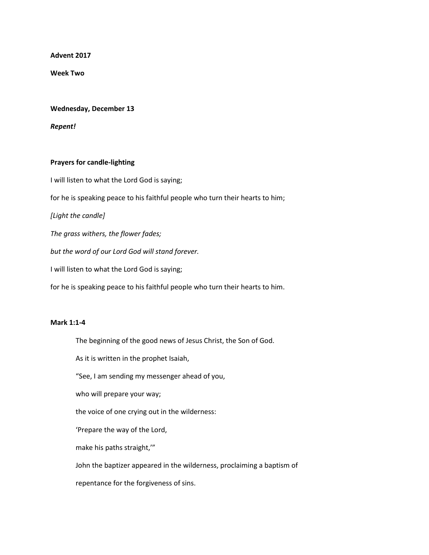**Advent 2017**

**Week Two**

## **Wednesday, December 13**

*Repent!*

## **Prayers for candle-lighting**

I will listen to what the Lord God is saying;

for he is speaking peace to his faithful people who turn their hearts to him;

*[Light the candle]*

*The grass withers, the flower fades;*

*but the word of our Lord God will stand forever.*

I will listen to what the Lord God is saying;

for he is speaking peace to his faithful people who turn their hearts to him.

## **Mark 1:1-4**

The beginning of the good news of Jesus Christ, the Son of God.

As it is written in the prophet Isaiah,

"See, I am sending my messenger ahead of you,

who will prepare your way;

the voice of one crying out in the wilderness:

'Prepare the way of the Lord,

make his paths straight,'"

John the baptizer appeared in the wilderness, proclaiming a baptism of

repentance for the forgiveness of sins.